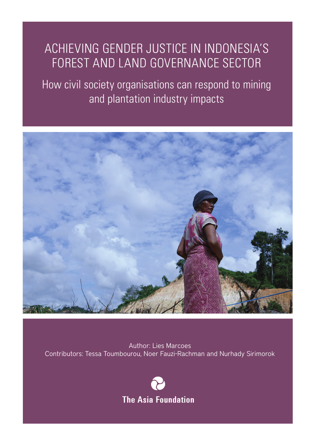# ACHIEVING GENDER JUSTICE IN INDONESIA'S FOREST AND LAND GOVERNANCE SECTOR

How civil society organisations can respond to mining and plantation industry impacts



Author: Lies Marcoes Contributors: Tessa Toumbourou, Noer Fauzi-Rachman and Nurhady Sirimorok

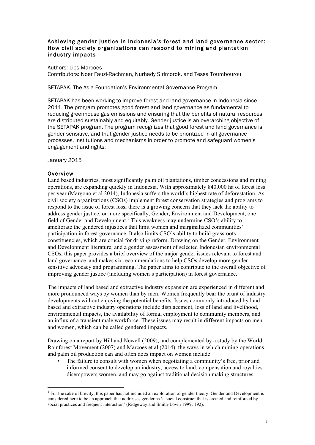# Achieving gender justice in Indonesia's forest and land governance sector: How civil society organizations can respond to mining and plantation industry impacts

### Authors: Lies Marcoes

Contributors: Noer Fauzi-Rachman, Nurhady Sirimorok, and Tessa Toumbourou

SETAPAK, The Asia Foundation's Environmental Governance Program

SETAPAK has been working to improve forest and land governance in Indonesia since 2011. The program promotes good forest and land governance as fundamental to reducing greenhouse gas emissions and ensuring that the benefits of natural resources are distributed sustainably and equitably. Gender justice is an overarching objective of the SETAPAK program. The program recognizes that good forest and land governance is gender sensitive, and that gender justice needs to be prioritized in all governance processes, institutions and mechanisms in order to promote and safeguard women's engagement and rights.

January 2015

 

## Overview

Land based industries, most significantly palm oil plantations, timber concessions and mining operations, are expanding quickly in Indonesia. With approximately 840,000 ha of forest loss per year (Margono et al 2014), Indonesia suffers the world's highest rate of deforestation. As civil society organizations (CSOs) implement forest conservation strategies and programs to respond to the issue of forest loss, there is a growing concern that they lack the ability to address gender justice, or more specifically, Gender, Environment and Development, one field of Gender and Development.<sup>1</sup> This weakness may undermine CSO's ability to ameliorate the gendered injustices that limit women and marginalized communities' participation in forest governance. It also limits CSO's ability to build grassroots constituencies, which are crucial for driving reform. Drawing on the Gender, Environment and Development literature, and a gender assessment of selected Indonesian environmental CSOs, this paper provides a brief overview of the major gender issues relevant to forest and land governance, and makes six recommendations to help CSOs develop more gender sensitive advocacy and programming. The paper aims to contribute to the overall objective of improving gender justice (including women's participation) in forest governance.

The impacts of land based and extractive industry expansion are experienced in different and more pronounced ways by women than by men. Women frequently bear the brunt of industry developments without enjoying the potential benefits. Issues commonly introduced by land based and extractive industry operations include displacement, loss of land and livelihood, environmental impacts, the availability of formal employment to community members, and an influx of a transient male workforce. These issues may result in different impacts on men and women, which can be called gendered impacts.

Drawing on a report by Hill and Newell (2009), and complemented by a study by the World Rainforest Movement (2007) and Marcoes et al (2014), the ways in which mining operations and palm oil production can and often does impact on women include:

The failure to consult with women when negotiating a community's free, prior and informed consent to develop an industry, access to land, compensation and royalties disempowers women, and may go against traditional decision making structures.

 $<sup>1</sup>$  For the sake of brevity, this paper has not included an exploration of gender theory. Gender and Development is</sup> considered here to be an approach that addresses gender as 'a social construct that is created and reinforced by social practices and frequent interaction' (Ridgeway and Smith-Lovin 1999: 192).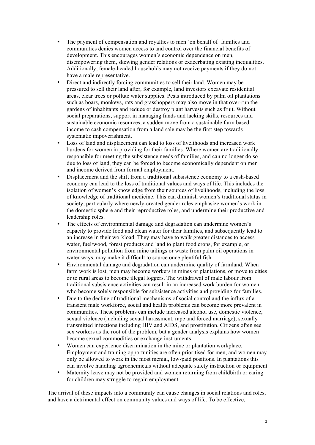- The payment of compensation and royalties to men 'on behalf of' families and communities denies women access to and control over the financial benefits of development. This encourages women's economic dependence on men, disempowering them, skewing gender relations or exacerbating existing inequalities. Additionally, female-headed households may not receive payments if they do not have a male representative.
- Direct and indirectly forcing communities to sell their land. Women may be pressured to sell their land after, for example, land investors excavate residential areas, clear trees or pollute water supplies. Pests introduced by palm oil plantations such as boars, monkeys, rats and grasshoppers may also move in that over-run the gardens of inhabitants and reduce or destroy plant harvests such as fruit. Without social preparations, support in managing funds and lacking skills, resources and sustainable economic resources, a sudden move from a sustainable farm based income to cash compensation from a land sale may be the first step towards systematic impoverishment.
- Loss of land and displacement can lead to loss of livelihoods and increased work burdens for women in providing for their families. Where women are traditionally responsible for meeting the subsistence needs of families, and can no longer do so due to loss of land, they can be forced to become economically dependent on men and income derived from formal employment.
- Displacement and the shift from a traditional subsistence economy to a cash-based economy can lead to the loss of traditional values and ways of life. This includes the isolation of women's knowledge from their sources of livelihoods, including the loss of knowledge of traditional medicine. This can diminish women's traditional status in society, particularly where newly-created gender roles emphasize women's work in the domestic sphere and their reproductive roles, and undermine their productive and leadership roles.
- The effects of environmental damage and degradation can undermine women's capacity to provide food and clean water for their families, and subsequently lead to an increase in their workload. They may have to walk greater distances to access water, fuel/wood, forest products and land to plant food crops, for example, or environmental pollution from mine tailings or waste from palm oil operations in water ways, may make it difficult to source once plentiful fish.
- Environmental damage and degradation can undermine quality of farmland. When farm work is lost, men may become workers in mines or plantations, or move to cities or to rural areas to become illegal loggers. The withdrawal of male labour from traditional subsistence activities can result in an increased work burden for women who become solely responsible for subsistence activities and providing for families.
- Due to the decline of traditional mechanisms of social control and the influx of a transient male workforce, social and health problems can become more prevalent in communities. These problems can include increased alcohol use, domestic violence, sexual violence (including sexual harassment, rape and forced marriage), sexually transmitted infections including HIV and AIDS, and prostitution. Citizens often see sex workers as the root of the problem, but a gender analysis explains how women become sexual commodities or exchange instruments.
- Women can experience discrimination in the mine or plantation workplace. Employment and training opportunities are often prioritised for men, and women may only be allowed to work in the most menial, low-paid positions. In plantations this can involve handling agrochemicals without adequate safety instruction or equipment.
- Maternity leave may not be provided and women returning from childbirth or caring for children may struggle to regain employment.

The arrival of these impacts into a community can cause changes in social relations and roles, and have a detrimental effect on community values and ways of life. To be effective,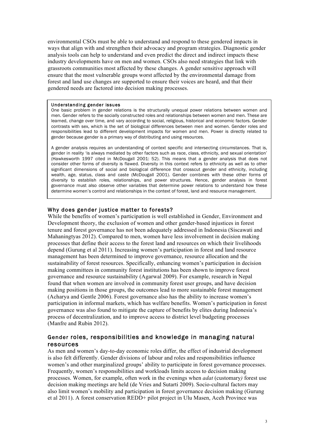environmental CSOs must be able to understand and respond to these gendered impacts in ways that align with and strengthen their advocacy and program strategies. Diagnostic gender analysis tools can help to understand and even predict the direct and indirect impacts these industry developments have on men and women. CSOs also need strategies that link with grassroots communities most affected by these changes. A gender sensitive approach will ensure that the most vulnerable groups worst affected by the environmental damage from forest and land use changes are supported to ensure their voices are heard, and that their gendered needs are factored into decision making processes.

#### Understanding gender issues

One basic problem in gender relations is the structurally unequal power relations between women and men. Gender refers to the socially constructed roles and relationships between women and men. These are learned, change over time, and vary according to social, religious, historical and economic factors. Gender contrasts with sex, which is the set of biological differences between men and women. Gender roles and responsibilities lead to different development impacts for women and men. Power is directly related to gender because gender is a primary way of distributing and using resources.

A gender analysis requires an understanding of context specific and intersecting circumstances. That is, gender in reality 'is always mediated by other factors such as race, class, ethnicity, and sexual orientation' (Hawkesworth 1997 cited in McDougall 2001: 52). This means that a gender analysis that does not consider other forms of diversity is flawed. Diversity in this context refers to ethnicity as well as to other significant dimensions of social and biological difference that crosscut gender and ethnicity, including wealth, age, status, class and caste (McDougall 2001). Gender combines with these other forms of diversity to establish roles, relationships, and power structures. Hence, gender analysis in forest governance must also observe other variables that determine power relations to understand how these determine women's control and relationships in the context of forest, land and resource management.

#### Why does gender justice matter to forests?

While the benefits of women's participation is well established in Gender, Environment and Development theory, the exclusion of women and other gender-based injustices in forest tenure and forest governance has not been adequately addressed in Indonesia (Siscawati and Mahaningtyas 2012). Compared to men, women have less involvement in decision making processes that define their access to the forest land and resources on which their livelihoods depend (Gurung et al 2011). Increasing women's participation in forest and land resource management has been determined to improve governance, resource allocation and the sustainability of forest resources. Specifically, enhancing women's participation in decision making committees in community forest institutions has been shown to improve forest governance and resource sustainability (Agarwal 2009). For example, research in Nepal found that when women are involved in community forest user groups, and have decision making positions in those groups, the outcomes lead to more sustainable forest management (Acharya and Gentle 2006). Forest governance also has the ability to increase women's participation in informal markets, which has welfare benefits. Women's participation in forest governance was also found to mitigate the capture of benefits by elites during Indonesia's process of decentralization, and to improve access to district level budgeting processes (Manfre and Rubin 2012).

# Gender roles, responsibilities and knowledge in managing natural resources

As men and women's day-to-day economic roles differ, the effect of industrial development is also felt differently. Gender divisions of labour and roles and responsibilities influence women's and other marginalized groups' ability to participate in forest governance processes. Frequently, women's responsibilities and workloads limits access to decision making processes. Women, for example, often work in the evenings when *adat* (customary*)* forest use decision making meetings are held (de Vries and Sutarti 2009). Socio-cultural factors may also limit women's mobility and participation in forest governance decision making (Gurung et al 2011). A forest conservation REDD+ pilot project in Ulu Masen, Aceh Province was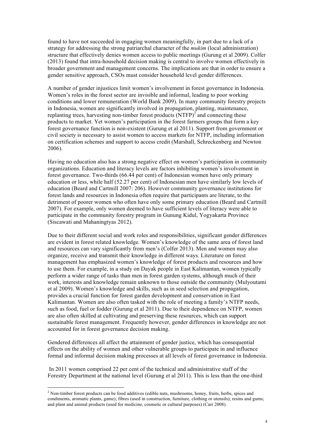found to have not succeeded in engaging women meaningfully, in part due to a lack of a strategy for addressing the strong patriarchal character of the *mukim* (local administration) structure that effectively denies women access to public meetings (Gurung et al 2009). Colfer (2013) found that intra-household decision making is central to involve women effectively in broader government and management concerns. The implications are that in order to ensure a gender sensitive approach, CSOs must consider household level gender differences.

A number of gender injustices limit women's involvement in forest governance in Indonesia. Women's roles in the forest sector are invisible and informal, leading to poor working conditions and lower remuneration (World Bank 2009). In many community forestry projects in Indonesia, women are significantly involved in propagation, planting, maintenance, replanting trees, harvesting non-timber forest products  $(NTFP)^2$  and connecting these products to market. Yet women's participation in the forest farmers groups that form a key forest governance function is non-existent (Gurung et al 2011). Support from government or civil society is necessary to assist women to access markets for NTFP, including information on certification schemes and support to access credit (Marshall, Schreckenberg and Newton 2006).

Having no education also has a strong negative effect on women's participation in community organizations. Education and literacy levels are factors inhibiting women's involvement in forest governance. Two-thirds (66.44 per cent) of Indonesian women have only primary education or less, while half (52.27 per cent) of Indonesian men have similarly low levels of education (Beard and Cartmill 2007: 206). However community governance institutions for forest lands and resources in Indonesia often require that participants are literate, to the detriment of poorer women who often have only some primary education (Beard and Cartmill 2007). For example, only women deemed to have sufficient levels of literacy were able to participate in the community forestry program in Gunung Kidul, Yogyakarta Province (Siscawati and Mahaningtyas 2012).

Due to their different social and work roles and responsibilities, significant gender differences are evident in forest related knowledge*.* Women's knowledge of the same area of forest land and resources can vary significantly from men's (Colfer 2013). Men and women may also organize, receive and transmit their knowledge in different ways. Literature on forest management has emphasized women's knowledge of forest products and resources and how to use them. For example, in a study on Dayak people in East Kalimantan, women typically perform a wider range of tasks than men in forest garden systems, although much of their work, interests and knowledge remain unknown to those outside the community (Mulyoutami et al 2009). Women's knowledge and skills, such as in seed selection and propagation, provides a crucial function for forest garden development and conservation in East Kalimantan. Women are also often tasked with the role of meeting a family's NTFP needs, such as food, fuel or fodder (Gurung et al 2011). Due to their dependence on NTFP, women are also often skilled at cultivating and preserving these resources, which can support sustainable forest management. Frequently however, gender differences in knowledge are not accounted for in forest governance decision making.

Gendered differences all affect the attainment of gender justice, which has consequential effects on the ability of women and other vulnerable groups to participate in and influence formal and informal decision making processes at all levels of forest governance in Indonesia.

In 2011 women comprised 22 per cent of the technical and administrative staff of the Forestry Department at the national level (Gurung et al 2011). This is less than the one-third

 

 $2^{2}$  Non-timber forest products can be food additives (edible nuts, mushrooms, honey, fruits, herbs, spices and condiments, aromatic plants, game); fibres (used in construction, furniture, clothing or utensils); resins and gums; and plant and animal products (used for medicine, cosmetic or cultural purposes) (Carr 2008).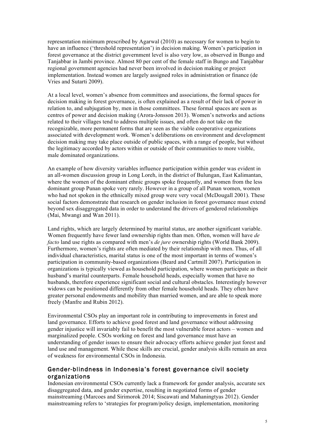representation minimum prescribed by Agarwal (2010) as necessary for women to begin to have an influence ('threshold representation') in decision making. Women's participation in forest governance at the district government level is also very low, as observed in Bungo and Tanjabbar in Jambi province. Almost 80 per cent of the female staff in Bungo and Tanjabbar regional government agencies had never been involved in decision making or project implementation. Instead women are largely assigned roles in administration or finance (de Vries and Sutarti 2009).

At a local level, women's absence from committees and associations, the formal spaces for decision making in forest governance, is often explained as a result of their lack of power in relation to, and subjugation by, men in those committees. These formal spaces are seen as centres of power and decision making (Arora-Jonsson 2013). Women's networks and actions related to their villages tend to address multiple issues, and often do not take on the recognizable, more permanent forms that are seen as the viable cooperative organizations associated with development work. Women's deliberations on environment and development decision making may take place outside of public spaces, with a range of people, but without the legitimacy accorded by actors within or outside of their communities to more visible, male dominated organizations.

An example of how diversity variables influence participation within gender was evident in an all-women discussion group in Long Loreh, in the district of Bulungan, East Kalimantan, where the women of the dominant ethnic groups spoke frequently, and women from the less dominant group Punan spoke very rarely. However in a group of all Punan women, women who had not spoken in the ethnically mixed group were very yocal (McDougall 2001). These social factors demonstrate that research on gender inclusion in forest governance must extend beyond sex disaggregated data in order to understand the drivers of gendered relationships (Mai, Mwangi and Wan 2011).

Land rights, which are largely determined by marital status, are another significant variable. Women frequently have fewer land ownership rights than men. Often, women will have *de facto* land use rights as compared with men's *de jure* ownership rights (World Bank 2009). Furthermore, women's rights are often mediated by their relationship with men. Thus, of all individual characteristics, marital status is one of the most important in terms of women's participation in community-based organizations (Beard and Cartmill 2007). Participation in organizations is typically viewed as household participation, where women participate as their husband's marital counterparts. Female household heads, especially women that have no husbands, therefore experience significant social and cultural obstacles. Interestingly however widows can be positioned differently from other female household heads. They often have greater personal endowments and mobility than married women, and are able to speak more freely (Manfre and Rubin 2012).

Environmental CSOs play an important role in contributing to improvements in forest and land governance. Efforts to achieve good forest and land governance without addressing gender injustice will invariably fail to benefit the most vulnerable forest actors – women and marginalized people. CSOs working on forest and land governance must have an understanding of gender issues to ensure their advocacy efforts achieve gender just forest and land use and management. While these skills are crucial, gender analysis skills remain an area of weakness for environmental CSOs in Indonesia.

# Gender-blindness in Indonesia's forest governance civil society organizations

Indonesian environmental CSOs currently lack a framework for gender analysis, accurate sex disaggregated data, and gender expertise, resulting in negotiated forms of gender mainstreaming (Marcoes and Sirimorok 2014; Siscawati and Mahaningtyas 2012). Gender mainstreaming refers to 'strategies for program/policy design, implementation, monitoring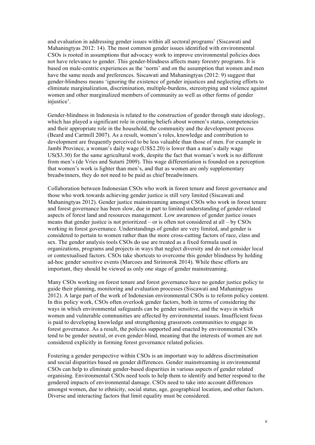and evaluation in addressing gender issues within all sectoral programs' (Siscawati and Mahaningtyas 2012: 14). The most common gender issues identified with environmental CSOs is rooted in assumptions that advocacy work to improve environmental policies does not have relevance to gender. This gender-blindness affects many forestry programs. It is based on male-centric experiences as the 'norm' and on the assumption that women and men have the same needs and preferences. Siscawati and Mahaningtyas (2012: 9) suggest that gender-blindness means 'ignoring the existence of gender injustices and neglecting efforts to eliminate marginalization, discrimination, multiple-burdens, stereotyping and violence against women and other marginalized members of community as well as other forms of gender injustice'.

Gender-blindness in Indonesia is related to the construction of gender through state ideology, which has played a significant role in creating beliefs about women's status, competencies and their appropriate role in the household, the community and the development process (Beard and Cartmill 2007). As a result, women's roles, knowledge and contribution to development are frequently perceived to be less valuable than those of men. For example in Jambi Province, a woman's daily wage (US\$2.20) is lower than a man's daily wage US(\$3.30) for the same agricultural work, despite the fact that woman's work is no different from men's (de Vries and Sutarti 2009). This wage differentiation is founded on a perception that women's work is lighter than men's, and that as women are only supplementary breadwinners, they do not need to be paid as chief breadwinners.

Collaboration between Indonesian CSOs who work in forest tenure and forest governance and those who work towards achieving gender justice is still very limited (Siscawati and Mahaningtyas 2012). Gender justice mainstreaming amongst CSOs who work in forest tenure and forest governance has been slow, due in part to limited understanding of gender-related aspects of forest land and resources management. Low awareness of gender justice issues means that gender justice is not prioritized – or is often not considered at all – by CSOs working in forest governance. Understandings of gender are very limited, and gender is considered to pertain to women rather than the more cross-cutting factors of race, class and sex. The gender analysis tools CSOs do use are treated as a fixed formula used in organizations, programs and projects in ways that neglect diversity and do not consider local or contextualised factors. CSOs take shortcuts to overcome this gender blindness by holding ad-hoc gender sensitive events (Marcoes and Sirimorok 2014). While these efforts are important, they should be viewed as only one stage of gender mainstreaming.

Many CSOs working on forest tenure and forest governance have no gender justice policy to guide their planning, monitoring and evaluation processes (Siscawati and Mahaningtyas 2012). A large part of the work of Indonesian environmental CSOs is to reform policy content. In this policy work, CSOs often overlook gender factors, both in terms of considering the ways in which environmental safeguards can be gender sensitive, and the ways in which women and vulnerable communities are affected by environmental issues. Insufficient focus is paid to developing knowledge and strengthening grassroots communities to engage in forest governance. As a result, the policies supported and enacted by environmental CSOs tend to be gender neutral, or even gender-blind, meaning that the interests of women are not considered explicitly in forming forest governance related policies.

Fostering a gender perspective within CSOs is an important way to address discrimination and social disparities based on gender differences. Gender mainstreaming in environmental CSOs can help to eliminate gender-based disparities in various aspects of gender related organising. Environmental CSOs need tools to help them to identify and better respond to the gendered impacts of environmental damage. CSOs need to take into account differences amongst women, due to ethnicity, social status, age, geographical location, and other factors. Diverse and interacting factors that limit equality must be considered.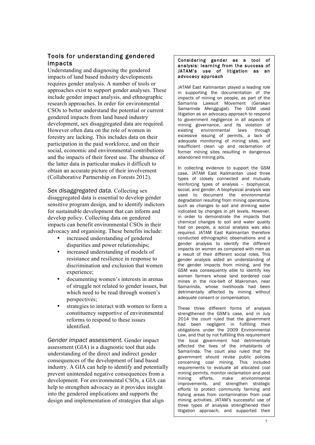# Tools for understanding gendered impacts

Understanding and diagnosing the gendered impacts of land based industry developments requires gender analysis. A number of tools or approaches exist to support gender analyses. These include gender impact analysis, and ethnographic research approaches. In order for environmental CSOs to better understand the potential or current gendered impacts from land based industry development, sex disaggregated data are required. However often data on the role of women in forestry are lacking. This includes data on their participation in the paid workforce, and on their social, economic and environmental contributions and the impacts of their forest use. The absence of the latter data in particular makes it difficult to obtain an accurate picture of their involvement (Collaborative Partnership on Forests 2012).

*Sex disaggregated data.* Collecting sex disaggregated data is essential to develop gender sensitive program design, and to identify indictors for sustainable development that can inform and develop policy. Collecting data on gendered impacts can benefit environmental CSOs in their advocacy and organising. These benefits include:

- increased understanding of gendered disparities and power relationships;
- increased understanding of models of resistance and resilience in response to discrimination and exclusion that women experience;
- documenting women's interests in arenas of struggle not related to gender issues, but which need to be read through women's perspectives;
- strategies to interact with women to form a constituency supportive of environmental reforms to respond to these issues identified.

*Gender impact assessment.* Gender impact assessment (GIA) is a diagnostic tool that aids understanding of the direct and indirect gender consequences of the development of land based industry. A GIA can help to identify and potentially prevent unintended negative consequences from a development. For environmental CSOs, a GIA can help to strengthen advocacy as it provides insight into the gendered implications and supports the design and implementation of strategies that align

#### Considering gender as a tool of analysis: learning from the success of JATAM's use of litigation as an advocacy approach

JATAM East Kalimantan played a leading role in supporting the documentation of the impacts of mining on people, as part of the Samarina Lawsuit Movement (*Gerakan Samarinda Menggugat*). The GSM used litigation as an advocacy approach to respond to government negligence in all aspects of mining governance, and its violation of existing environmental laws through excessive issuing of permits, a lack of adequate monitoring of mining sites, and insufficient clean up and reclamation of former mining sites resulting in dangerous abandoned mining pits.

In collecting evidence to support the GSM case, JATAM East Kalimantan used three types of closely connected and mutually reinforcing types of analysis – biophysical, social, and gender. A biophysical analysis was used to document the environmental degradation resulting from mining operations, such as changes to soil and drinking water indicated by changes in pH levels. However, in order to demonstrate the impacts that chemical changes to soil and water quality had on people, a social analysis was also required. JATAM East Kalimantan therefore conducted ethnographic observations and a gender analysis to identify the different impacts on women as compared with men as a result of their different social roles. This gender analysis aided an understanding of the gender impacts from mining, and the GSM was consequently able to identify key women farmers whose land bordered coal mines in the rice-belt of Makroman, near Samarinda, whose livelihoods had been detrimentally affected by mining without adequate consent or compensation.

These three different forms of analysis strengthened the GSM's case, and in July 2014 the court ruled that the government had been negligent in fulfilling their obligations under the 2009 Environmental Law, and that by not fulfilling this requirement the local government had detrimentally affected the lives of the inhabitants of Samarinda. The court also ruled that the government should revise public policies concerning coal mining. This included requirements to evaluate all allocated coal mining permits, monitor reclamation and post mining efforts, make environmental improvements, and strengthen strategic efforts to protect community farming and fishing areas from contamination from coal mining activities. JATAM's successful use of three types of analysis strengthened their litigation approach, and supported their

success in court.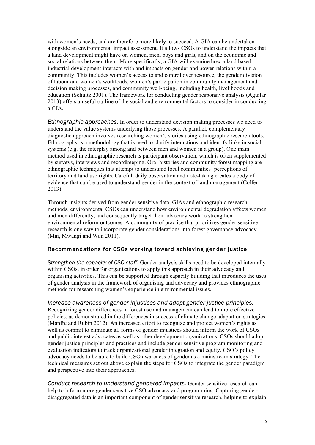with women's needs, and are therefore more likely to succeed. A GIA can be undertaken alongside an environmental impact assessment. It allows CSOs to understand the impacts that a land development might have on women, men, boys and girls, and on the economic and social relations between them. More specifically, a GIA will examine how a land based industrial development interacts with and impacts on gender and power relations within a community. This includes women's access to and control over resource, the gender division of labour and women's workloads, women's participation in community management and decision making processes, and community well-being, including health, livelihoods and education (Schultz 2001). The framework for conducting gender responsive analysis (Aguilar 2013) offers a useful outline of the social and environmental factors to consider in conducting a GIA.

*Ethnographic approaches.* In order to understand decision making processes we need to understand the value systems underlying those processes. A parallel, complementary diagnostic approach involves researching women's stories using ethnographic research tools. Ethnography is a methodology that is used to clarify interactions and identify links in social systems (e.g. the interplay among and between men and women in a group). One main method used in ethnographic research is participant observation, which is often supplemented by surveys, interviews and recordkeeping. Oral histories and community forest mapping are ethnographic techniques that attempt to understand local communities' perceptions of territory and land use rights. Careful, daily observation and note-taking creates a body of evidence that can be used to understand gender in the context of land management (Colfer 2013).

Through insights derived from gender sensitive data, GIAs and ethnographic research methods, environmental CSOs can understand how environmental degradation affects women and men differently, and consequently target their advocacy work to strengthen environmental reform outcomes. A community of practice that prioritizes gender sensitive research is one way to incorporate gender considerations into forest governance advocacy (Mai, Mwangi and Wan 2011).

# Recommendations for CSOs working toward achieving gender justice

*Strengthen the capacity of CSO staff*. Gender analysis skills need to be developed internally within CSOs, in order for organizations to apply this approach in their advocacy and organising activities. This can be supported through capacity building that introduces the uses of gender analysis in the framework of organising and advocacy and provides ethnographic methods for researching women's experience in environmental issues.

*Increase awareness of gender injustices and adopt gender justice principles.* Recognizing gender differences in forest use and management can lead to more effective policies, as demonstrated in the differences in success of climate change adaptation strategies (Manfre and Rubin 2012). An increased effort to recognize and protect women's rights as well as commit to eliminate all forms of gender injustices should inform the work of CSOs and public interest advocates as well as other development organizations. CSOs should adopt gender justice principles and practices and include gender sensitive program monitoring and evaluation indicators to track organizational gender integration and equity. CSO's policy advocacy needs to be able to build CSO awareness of gender as a mainstream strategy. The technical measures set out above explain the steps for CSOs to integrate the gender paradigm and perspective into their approaches.

*Conduct research to understand gendered impacts.* Gender sensitive research can help to inform more gender sensitive CSO advocacy and programming. Capturing genderdisaggregated data is an important component of gender sensitive research, helping to explain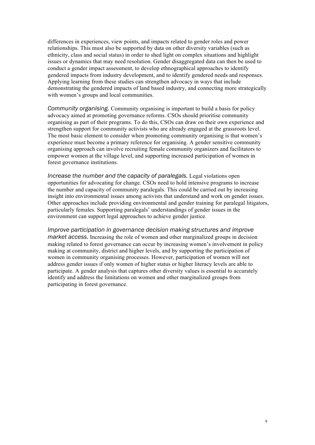differences in experiences, view points, and impacts related to gender roles and power relationships. This must also be supported by data on other diversity variables (such as ethnicity, class and social status) in order to shed light on complex situations and highlight issues or dynamics that may need resolution. Gender disaggregated data can then be used to conduct a gender impact assessment, to develop ethnographical approaches to identify gendered impacts from industry development, and to identify gendered needs and responses. Applying learning from these studies can strengthen advocacy in ways that include demonstrating the gendered impacts of land based industry, and connecting more strategically with women's groups and local communities.

*Community organising.* Community organising is important to build a basis for policy advocacy aimed at promoting governance reforms. CSOs should prioritise community organising as part of their programs. To do this, CSOs can draw on their own experience and strengthen support for community activists who are already engaged at the grassroots level. The most basic element to consider when promoting community organising is that women's experience must become a primary reference for organising. A gender sensitive community organising approach can involve recruiting female community organizers and facilitators to empower women at the village level, and supporting increased participation of women in forest governance institutions.

*Increase the number and the capacity of paralegals.* Legal violations open opportunities for advocating for change. CSOs need to hold intensive programs to increase the number and capacity of community paralegals. This could be carried out by increasing insight into environmental issues among activists that understand and work on gender issues. Other approaches include providing environmental and gender training for paralegal litigators, particularly females. Supporting paralegals' understandings of gender issues in the environment can support legal approaches to achieve gender justice.

*Improve participation in governance decision making structures and improve market access.* Increasing the role of women and other marginalized groups in decision making related to forest governance can occur by increasing women's involvement in policy making at community, district and higher levels, and by supporting the participation of women in community organising processes. However, participation of women will not address gender issues if only women of higher status or higher literacy levels are able to participate. A gender analysis that captures other diversity values is essential to accurately identify and address the limitations on women and other marginalized groups from participating in forest governance.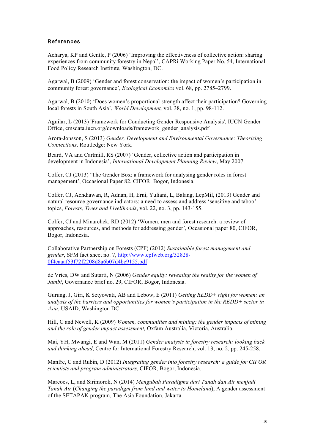## References

Acharya, KP and Gentle, P (2006) 'Improving the effectiveness of collective action: sharing experiences from community forestry in Nepal', CAPRi Working Paper No. 54, International Food Policy Research Institute, Washington, DC.

Agarwal, B (2009) 'Gender and forest conservation: the impact of women's participation in community forest governance', *Ecological Economics* vol. 68, pp. 2785–2799.

Agarwal, B (2010) 'Does women's proportional strength affect their participation? Governing local forests in South Asia', *World Development,* vol. 38, no. 1, pp. 98-112.

Aguilar, L (2013) 'Framework for Conducting Gender Responsive Analysis', IUCN Gender Office, cmsdata.iucn.org/downloads/framework\_gender\_analysis.pdf

Arora-Jonsson, S (2013) *Gender, Development and Environmental Governance: Theorizing Connections*. Routledge: New York.

Beard, VA and Cartmill, RS (2007) 'Gender, collective action and participation in development in Indonesia', *International Development Planning Review*, May 2007.

Colfer, CJ (2013) 'The Gender Box: a framework for analysing gender roles in forest management', Occasional Paper 82. CIFOR: Bogor, Indonesia.

Colfer, CJ, Achdiawan, R, Adnan, H, Erni, Yuliani, L, Balang, LepMil, (2013) Gender and natural resource governance indicators: a need to assess and address 'sensitive and taboo' topics, *Forests, Trees and Livelihoods*, vol. 22, no. 3, pp. 143-155.

Colfer, CJ and Minarchek, RD (2012) 'Women, men and forest research: a review of approaches, resources, and methods for addressing gender', Occasional paper 80, CIFOR, Bogor, Indonesia.

Collaborative Partnership on Forests (CPF) (2012) *Sustainable forest management and gender*, SFM fact sheet no. 7, http://www.cpfweb.org/32828- 0f4caaaf53f72f2208d8a6b07d4bc9155.pdf

de Vries, DW and Sutarti, N (2006) *Gender equity: revealing the reality for the women of Jambi*, Governance brief no. 29, CIFOR, Bogor, Indonesia.

Gurung, J, Giri, K Setyowati, AB and Lebow, E (2011) *Getting REDD+ right for women: an analysis of the barriers and opportunities for women's participation in the REDD+ sector in Asia*, USAID, Washington DC.

Hill, C and Newell, K (2009) *Women, communities and mining: the gender impacts of mining and the role of gender impact assessment,* Oxfam Australia, Victoria, Australia.

Mai, YH, Mwangi, E and Wan, M (2011) *Gender analysis in forestry research: looking back and thinking ahead*, Centre for International Forestry Research, vol. 13, no. 2, pp. 245-258.

Manfre, C and Rubin, D (2012) *Integrating gender into forestry research: a guide for CIFOR scientists and program administrators*, CIFOR, Bogor, Indonesia.

Marcoes, L, and Sirimorok, N (2014) *Mengubah Paradigma dari Tanah dan Air menjadi Tanah Air* (*Changing the paradigm from land and water to Homeland*), A gender assessment of the SETAPAK program, The Asia Foundation, Jakarta.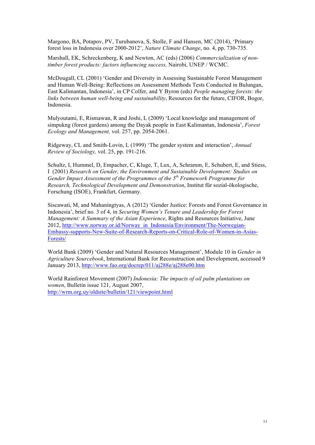Margono, BA, Potapov, PV, Turubanova, S, Stolle, F and Hansen, MC (2014), 'Primary forest loss in Indonesia over 2000-2012', *Nature Climate Change*, no. 4, pp. 730-735.

Marshall, EK, Schreckenberg, K and Newton, AC (eds) (2006) *Commercialization of nontimber forest products: factors influencing success,* Nairobi, UNEP / WCMC.

McDougall, CL (2001) 'Gender and Diversity in Assessing Sustainable Forest Management and Human Well-Being: Reflections on Assessment Methods Tests Conducted in Bulungan, East Kalimantan, Indonesia', in CP Colfer, and Y Byron (eds) *People managing forests: the links between human well-being and sustainability*, Resources for the future, CIFOR, Bogor, Indonesia.

Mulyoutami, E, Rismawan, R and Joshi, L (2009) 'Local knowledge and management of simpukng (forest gardens) among the Dayak people in East Kalimantan, Indonesia', *Forest Ecology and Management,* vol. 257, pp. 2054-2061.

Ridgeway, CL and Smith-Lovin, L (1999) 'The gender system and interaction', *Annual Review of Sociology,* vol. 25, pp. 191-216.

Schultz, I, Hummel, D, Empacher, C, Kluge, T, Lux, A, Schramm, E, Schubert, E, and Stiess, I (2001) *Research on Gender, the Environment and Sustainable Development: Studies on Gender Impact Assessment of the Programmes of the 5th Framework Programme for Research, Technological Development and Demonstration*, Institut für sozial-ökologische, Forschung (ISOE), Frankfurt, Germany.

Siscawati, M, and Mahaningtyas, A (2012) 'Gender Justice: Forests and Forest Governance in Indonesia', brief no. 3 of 4, in *Securing Women's Tenure and Leadership for Forest Management: A Summary of the Asian Experience*, Rights and Resources Initiative, June 2012, http://www.norway.or.id/Norway\_in\_Indonesia/Environment/The-Norwegian-Embassy-supports-New-Suite-of-Research-Reports-on-Critical-Role-of-Women-in-Asias-Forests/

World Bank (2009) 'Gender and Natural Resources Management', Module 10 in *Gender in Agriculture Sourcebook*, International Bank for Reconstruction and Development, accessed 9 January 2013, http://www.fao.org/docrep/011/aj288e/aj288e00.htm

World Rainforest Movement (2007) *Indonesia: The impacts of oil palm plantations on women*, Bulletin issue 121, August 2007, http://wrm.org.uy/oldsite/bulletin/121/viewpoint.html